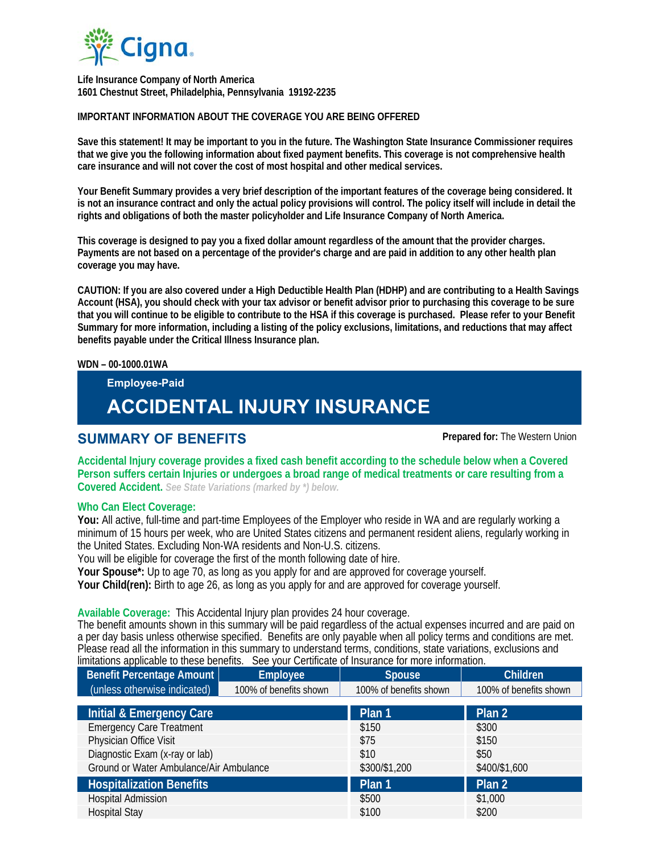

 **Life Insurance Company of North America 1601 Chestnut Street, Philadelphia, Pennsylvania 19192-2235** 

#### **IMPORTANT INFORMATION ABOUT THE COVERAGE YOU ARE BEING OFFERED**

**Save this statement! It may be important to you in the future. The Washington State Insurance Commissioner requires that we give you the following information about fixed payment benefits. This coverage is not comprehensive health care insurance and will not cover the cost of most hospital and other medical services.** 

**Your Benefit Summary provides a very brief description of the important features of the coverage being considered. It is not an insurance contract and only the actual policy provisions will control. The policy itself will include in detail the rights and obligations of both the master policyholder and Life Insurance Company of North America.** 

**This coverage is designed to pay you a fixed dollar amount regardless of the amount that the provider charges. Payments are not based on a percentage of the provider's charge and are paid in addition to any other health plan coverage you may have.** 

**CAUTION: If you are also covered under a High Deductible Health Plan (HDHP) and are contributing to a Health Savings Account (HSA), you should check with your tax advisor or benefit advisor prior to purchasing this coverage to be sure that you will continue to be eligible to contribute to the HSA if this coverage is purchased. Please refer to your Benefit Summary for more information, including a listing of the policy exclusions, limitations, and reductions that may affect benefits payable under the Critical Illness Insurance plan.** 

#### **WDN – 00-1000.01WA**

**Employee-Paid** 

# **ACCIDENTAL INJURY INSURANCE**

## **SUMMARY OF BENEFITS Prepared for:** The Western Union

**Accidental Injury coverage provides a fixed cash benefit according to the schedule below when a Covered Person suffers certain Injuries or undergoes a broad range of medical treatments or care resulting from a Covered Accident.** *See State Variations (marked by \*) below.*

### **Who Can Elect Coverage:**

**You:** All active, full-time and part-time Employees of the Employer who reside in WA and are regularly working a minimum of 15 hours per week, who are United States citizens and permanent resident aliens, regularly working in the United States. Excluding Non-WA residents and Non-U.S. citizens.

You will be eligible for coverage the first of the month following date of hire.

**Your Spouse\*:** Up to age 70, as long as you apply for and are approved for coverage yourself.

**Your Child(ren):** Birth to age 26, as long as you apply for and are approved for coverage yourself.

### **Available Coverage:** This Accidental Injury plan provides 24 hour coverage.

The benefit amounts shown in this summary will be paid regardless of the actual expenses incurred and are paid on a per day basis unless otherwise specified. Benefits are only payable when all policy terms and conditions are met. Please read all the information in this summary to understand terms, conditions, state variations, exclusions and limitations applicable to these benefits. See your Certificate of Insurance for more information.

| <b>Benefit Percentage Amount</b>        | <b>Employee</b>        | <b>Spouse</b>          | <b>Children</b>        |
|-----------------------------------------|------------------------|------------------------|------------------------|
| (unless otherwise indicated)            | 100% of benefits shown | 100% of benefits shown | 100% of benefits shown |
| Initial & Emergency Care                |                        | Plan 1                 | Plan 2                 |
|                                         |                        |                        |                        |
| <b>Emergency Care Treatment</b>         |                        | \$150                  | \$300                  |
| Physician Office Visit                  |                        | \$75                   | \$150                  |
| Diagnostic Exam (x-ray or lab)          |                        | \$10                   | \$50                   |
| Ground or Water Ambulance/Air Ambulance |                        | \$300/\$1,200          | \$400/\$1,600          |
| <b>Hospitalization Benefits</b>         |                        | Plan 1                 | Plan 2                 |
| <b>Hospital Admission</b>               |                        | \$500                  | \$1,000                |
| <b>Hospital Stay</b>                    |                        | \$100                  | \$200                  |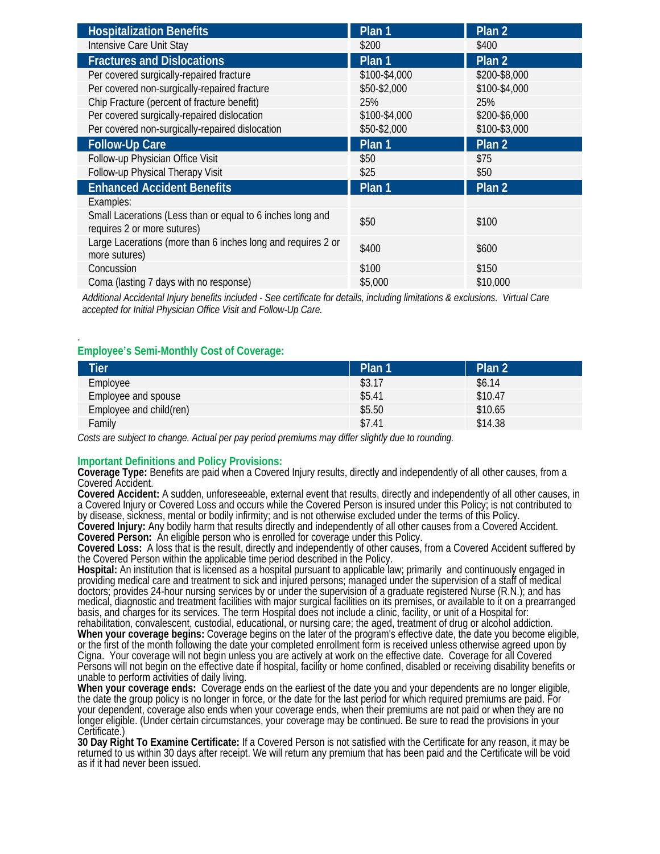| <b>Hospitalization Benefits</b>                                                           | Plan 1            | Plan <sub>2</sub> |
|-------------------------------------------------------------------------------------------|-------------------|-------------------|
| Intensive Care Unit Stay                                                                  | \$200             | \$400             |
| <b>Fractures and Dislocations</b>                                                         | Plan <sub>1</sub> | Plan 2            |
| Per covered surgically-repaired fracture                                                  | \$100-\$4,000     | \$200-\$8,000     |
| Per covered non-surgically-repaired fracture                                              | \$50-\$2,000      | \$100-\$4,000     |
| Chip Fracture (percent of fracture benefit)                                               | 25%               | 25%               |
| Per covered surgically-repaired dislocation                                               | \$100-\$4,000     | \$200-\$6,000     |
| Per covered non-surgically-repaired dislocation                                           | \$50-\$2,000      | \$100-\$3,000     |
| <b>Follow-Up Care</b>                                                                     | Plan 1            | Plan <sub>2</sub> |
| Follow-up Physician Office Visit                                                          | \$50              | \$75              |
| Follow-up Physical Therapy Visit                                                          | \$25              | \$50              |
| <b>Enhanced Accident Benefits</b>                                                         | Plan 1            | Plan <sub>2</sub> |
| Examples:                                                                                 |                   |                   |
| Small Lacerations (Less than or equal to 6 inches long and<br>requires 2 or more sutures) | \$50              | \$100             |
| Large Lacerations (more than 6 inches long and requires 2 or<br>more sutures)             | \$400             | \$600             |
| Concussion                                                                                | \$100             | \$150             |
| Coma (lasting 7 days with no response)                                                    | \$5,000           | \$10,000          |

*Additional Accidental Injury benefits included - See certificate for details, including limitations & exclusions. Virtual Care accepted for Initial Physician Office Visit and Follow-Up Care.*

#### **Employee's Semi-Monthly Cost of Coverage:**

.

| <b>Tier</b>             | Plan 1 | Plan 2  |
|-------------------------|--------|---------|
| Employee                | \$3.17 | \$6.14  |
| Employee and spouse     | \$5.41 | \$10.47 |
| Employee and child(ren) | \$5.50 | \$10.65 |
| Family                  | \$7.41 | \$14.38 |

*Costs are subject to change. Actual per pay period premiums may differ slightly due to rounding.*

**Important Definitions and Policy Provisions: Coverage Type:** Benefits are paid when a Covered Injury results, directly and independently of all other causes, from a Covered Accident.<br>Covered Accident: A sudden, unforeseeable, external event that results, directly and independently of all other causes, in

a Covered Injury or Covered Loss and occurs while the Covered Person is insured under this Policy; is not contributed to by disease, sickness, mental or bodily infirmity; and is not otherwise excluded under the terms of this Policy.

**Covered Injury:** Any bodily harm that results directly and independently of all other causes from a Covered Accident. **Covered Person:** An eligible person who is enrolled for coverage under this Policy.

**Covered Loss:** A loss that is the result, directly and independently of other causes, from a Covered Accident suffered by the Covered Person within the applicable time period described in the Policy.

**Hospital:** An institution that is licensed as a hospital pursuant to applicable law; primarily and continuously engaged in providing medical care and treatment to sick and injured persons; managed under the supervision of a staff of medical doctors; provides 24-hour nursing services by or under the supervision of a graduate registered Nurse (R.N.); and has medical, diagnostic and treatment facilities with major surgical facilities on its premises, or available to it on a prearranged basis, and charges for its services. The term Hospital does not include a clinic, facility, or unit of a Hospital for: rehabilitation, convalescent, custodial, educational, or nursing care; the aged, treatment of drug or alcohol addiction. **When your coverage begins:** Coverage begins on the later of the program's effective date, the date you become eligible, or the first of the month following the date your completed enrollment form is received unless otherwise agreed upon by Cigna. Your coverage will not begin unless you are actively at work on the effective date. Coverage for all Covered Persons will not begin on the effective date if hospital, facility or home confined, disabled or receiving disability benefits or unable to perform activities of daily living.<br>When your coverage ends: Coverage ends on the earliest of the date you and your dependents are no longer eligible,

the date the group policy is no longer in force, or the date for the last period for which required premiums are paid. For your dependent, coverage also ends when your coverage ends, when their premiums are not paid or when they are no longer eligible. (Under certain circumstances, your coverage may be continued. Be sure to read the provisions in your Certificate.

**30 Day Right To Examine Certificate:** If a Covered Person is not satisfied with the Certificate for any reason, it may be returned to us within 30 days after receipt. We will return any premium that has been paid and the Certificate will be void as if it had never been issued.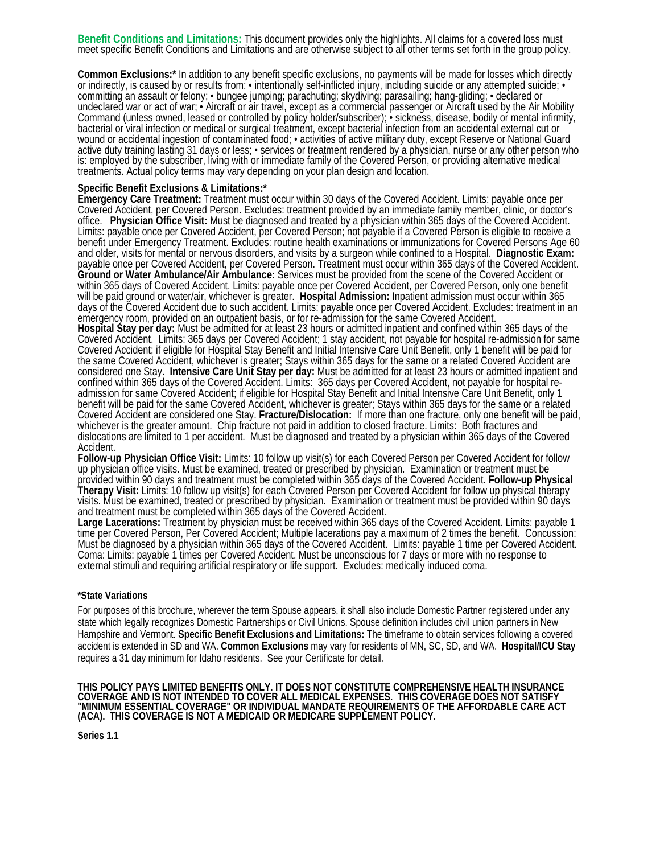Benefit Conditions and Limitations: This document provides only the highlights. All claims for a covered loss must<br>meet specific Benefit Conditions and Limitations and are otherwise subject to all other terms set forth in

Common Exclusions:\* In addition to any benefit specific exclusions, no payments will be made for losses which directly<br>or indirectly, is caused by or results from: • intentionally self-inflicted injury, including suicide o committing an assault or felony; • bungee jumping; parachuting; skydiving; parasailing; hang-gliding; • declared or undeclared war or act of war; • Aircraft or air travel, except as a commercial passenger or Aircraft used by the Air Mobility Command (unless owned, leased or controlled by policy holder/subscriber); • sickness, disease, bodily or mental infirmity, bacterial or viral infection or medical or surgical treatment, except bacterial infection from an accidental external cut or wound or accidental ingestion of contaminated food; • activities of active military duty, except Reserve or National Guard active duty training lasting 31 days or less; • services or treatment rendered by a physician, nurse or any other person who is: employed by the subscriber, living with or immediate family of the Covered Person, or providing alternative medical treatments. Actual policy terms may vary depending on your plan design and location.

#### **Specific Benefit Exclusions & Limitations:\***

Emergency Care Treatment: Treatment must occur within 30 days of the Covered Accident. Limits: payable once per<br>Covered Accident, per Covered Person. Excludes: treatment provided by an immediate family member, clinic, or d office. **Physician Office Visit:** Must be diagnosed and treated by a physician within 365 days of the Covered Accident. Limits: payable once per Covered Accident, per Covered Person; not payable if a Covered Person is eligible to receive a benefit under Emergency Treatment. Excludes: routine health examinations or immunizations for Covered Persons Age 60 and older, visits for mental or nervous disorders, and visits by a surgeon while confined to a Hospital. **Diagnostic Exam:** payable once per Covered Accident, per Covered Person. Treatment must occur within 365 days of the Covered Accident. **Ground or Water Ambulance/Air Ambulance:** Services must be provided from the scene of the Covered Accident or within 365 days of Covered Accident. Limits: payable once per Covered Accident, per Covered Person, only one benefit will be paid ground or water/air, whichever is greater. Hospital Admission: Inpatient admission must occur within 365 days of the Covered Accident due to such accident. Limits: payable once per Covered Accident. Excludes: treatment in an

emergency room, provided on an outpatient basis, or for re-admission for the same Covered Accident.<br>Hospital Stay per day: Must be admitted for at least 23 hours or admitted inpatient and confined within 365 days of the Covered Accident. Limits: 365 days per Covered Accident; 1 stay accident, not payable for hospital re-admission for same Covered Accident; if eligible for Hospital Stay Benefit and Initial Intensive Care Unit Benefit, only 1 benefit will be paid for the same Covered Accident, whichever is greater; Stays within 365 days for the same or a related Covered Accident are considered one Stay. **Intensive Care Unit Stay per day:** Must be admitted for at least 23 hours or admitted inpatient and confined within 365 days of the Covered Accident. Limits: 365 days per Covered Accident, not payable for hospital readmission for same Covered Accident; if eligible for Hospital Stay Benefit and Initial Intensive Care Unit Benefit, only 1 benefit will be paid for the same Covered Accident, whichever is greater; Stays within 365 days for the same or a related Covered Accident are considered one Stay. **Fracture/Dislocation:** If more than one fracture, only one benefit will be paid, whichever is the greater amount. Chip fracture not paid in addition to closed fracture. Limits: Both fractures and dislocations are limited to 1 per accident. Must be diagnosed and treated by a physician within 365 days of the Covered Accident.

**Follow-up Physician Office Visit:** Limits: 10 follow up visit(s) for each Covered Person per Covered Accident for follow up physician office visits. Must be examined, treated or prescribed by physician. Examination or treatment must be provided within 90 days and treatment must be completed within 365 days of the Covered Accident. **Follow-up Physical Therapy Visit**: Limits: 10 follow up visit(s) for each Covered Person per Covered Accident for follow up physical therapy<br>visits. Must be examined, treated or prescribed by physician. Examination or treatment must be prov and treatment must be completed within 365 days of the Covered Accident.

Large Lacerations: Treatment by physician must be received within 365 days of the Covered Accident. Limits: payable 1<br>time per Covered Person, Per Covered Accident; Multiple lacerations pay a maximum of 2 times the benefit time per Covered Person, Per Covered Accident; Multiple lacerations pay a maximum of 2 times the benefit. Concussion:<br>Must be diagnosed by a physician within 365 days of the Covered Accident. Limits: payable 1 time per Cov Coma: Limits: payable 1 times per Covered Accident. Must be unconscious for 7 days or more with no response to external stimuli and requiring artificial respiratory or life support. Excludes: medically induced coma.

#### **\*State Variations**

For purposes of this brochure, wherever the term Spouse appears, it shall also include Domestic Partner registered under any state which legally recognizes Domestic Partnerships or Civil Unions. Spouse definition includes civil union partners in New Hampshire and Vermont. **Specific Benefit Exclusions and Limitations:** The timeframe to obtain services following a covered accident is extended in SD and WA. **Common Exclusions** may vary for residents of MN, SC, SD, and WA. **Hospital/ICU Stay** requires a 31 day minimum for Idaho residents. See your Certificate for detail.

#### **THIS POLICY PAYS LIMITED BENEFITS ONLY. IT DOES NOT CONSTITUTE COMPREHENSIVE HEALTH INSURANCE COVERAGE AND IS NOT INTENDED TO COVER ALL MEDICAL EXPENSES. THIS COVERAGE DOES NOT SATISFY "MINIMUM ESSENTIAL COVERAGE" OR INDIVIDUAL MANDATE REQUIREMENTS OF THE AFFORDABLE CARE ACT (ACA). THIS COVERAGE IS NOT A MEDICAID OR MEDICARE SUPPLEMENT POLICY.**

**Series 1.1**